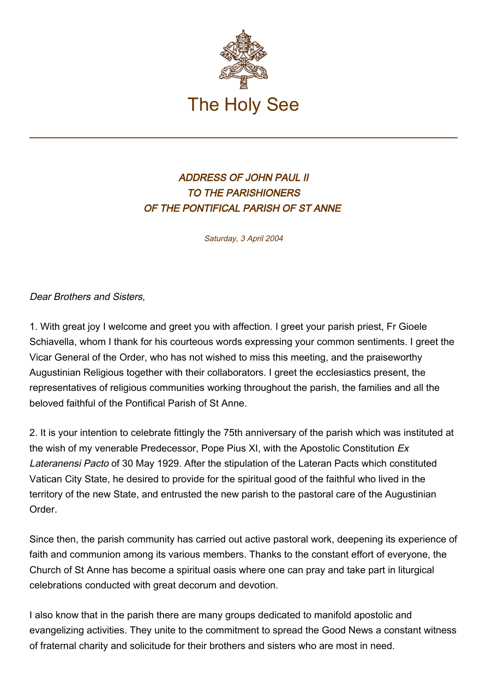

## ADDRESS OF JOHN PAUL II TO THE PARISHIONERS OF THE PONTIFICAL PARISH OF ST ANNE

Saturday, 3 April 2004

Dear Brothers and Sisters,

1. With great joy I welcome and greet you with affection. I greet your parish priest, Fr Gioele Schiavella, whom I thank for his courteous words expressing your common sentiments. I greet the Vicar General of the Order, who has not wished to miss this meeting, and the praiseworthy Augustinian Religious together with their collaborators. I greet the ecclesiastics present, the representatives of religious communities working throughout the parish, the families and all the beloved faithful of the Pontifical Parish of St Anne.

2. It is your intention to celebrate fittingly the 75th anniversary of the parish which was instituted at the wish of my venerable Predecessor, Pope Pius XI, with the Apostolic Constitution Ex Lateranensi Pacto of 30 May 1929. After the stipulation of the Lateran Pacts which constituted Vatican City State, he desired to provide for the spiritual good of the faithful who lived in the territory of the new State, and entrusted the new parish to the pastoral care of the Augustinian Order.

Since then, the parish community has carried out active pastoral work, deepening its experience of faith and communion among its various members. Thanks to the constant effort of everyone, the Church of St Anne has become a spiritual oasis where one can pray and take part in liturgical celebrations conducted with great decorum and devotion.

I also know that in the parish there are many groups dedicated to manifold apostolic and evangelizing activities. They unite to the commitment to spread the Good News a constant witness of fraternal charity and solicitude for their brothers and sisters who are most in need.